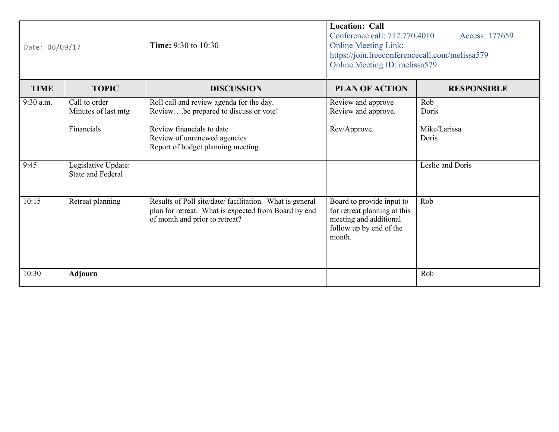| Date: 06/09/17 |                                                 | <b>Time:</b> 9:30 to 10:30                                                                                                                         | <b>Location: Call</b><br>Conference call: 712.770.4010<br>Access: 177659<br><b>Online Meeting Link:</b><br>https://join.freeconferencecall.com/melissa579<br>Online Meeting ID: melissa579 |                       |
|----------------|-------------------------------------------------|----------------------------------------------------------------------------------------------------------------------------------------------------|--------------------------------------------------------------------------------------------------------------------------------------------------------------------------------------------|-----------------------|
| <b>TIME</b>    | <b>TOPIC</b>                                    | <b>DISCUSSION</b>                                                                                                                                  | <b>PLAN OF ACTION</b>                                                                                                                                                                      | <b>RESPONSIBLE</b>    |
| 9:30 a.m.      | Call to order<br>Minutes of last mtg            | Roll call and review agenda for the day.<br>Reviewbe prepared to discuss or vote!                                                                  | Review and approve<br>Review and approve.                                                                                                                                                  | Rob<br>Doris          |
|                | Financials                                      | Review financials to date<br>Review of unrenewed agencies<br>Report of budget planning meeting                                                     | Rev/Approve.                                                                                                                                                                               | Mike/Larissa<br>Doris |
| 9:45           | Legislative Update:<br><b>State and Federal</b> |                                                                                                                                                    |                                                                                                                                                                                            | Leslie and Doris      |
| 10:15          | Retreat planning                                | Results of Poll site/date/ facilitation. What is general<br>plan for retreat. What is expected from Board by end<br>of month and prior to retreat? | Board to provide input to<br>for retreat planning at this<br>meeting and additional<br>follow up by end of the<br>month.                                                                   | Rob                   |
| 10:30          | <b>Adjourn</b>                                  |                                                                                                                                                    |                                                                                                                                                                                            | Rob                   |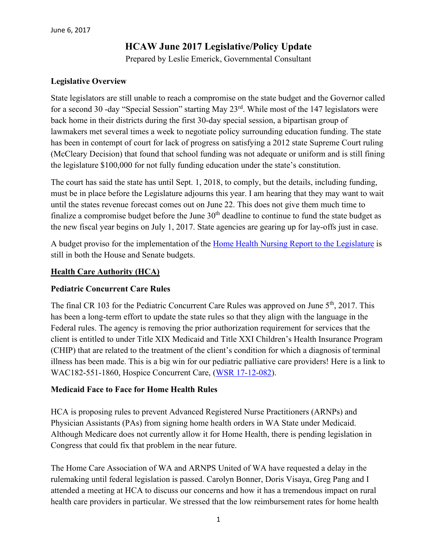# **HCAW June 2017 Legislative/Policy Update**

Prepared by Leslie Emerick, Governmental Consultant

## **Legislative Overview**

State legislators are still unable to reach a compromise on the state budget and the Governor called for a second 30 -day "Special Session" starting May 23rd. While most of the 147 legislators were back home in their districts during the first 30-day special session, a bipartisan group of lawmakers met several times a week to negotiate policy surrounding education funding. The state has been in contempt of court for lack of progress on satisfying a 2012 state Supreme Court ruling (McCleary Decision) that found that school funding was not adequate or uniform and is still fining the legislature \$100,000 for not fully funding education under the state's constitution.

The court has said the state has until Sept. 1, 2018, to comply, but the details, including funding, must be in place before the Legislature adjourns this year. I am hearing that they may want to wait until the states revenue forecast comes out on June 22. This does not give them much time to finalize a compromise budget before the June  $30<sup>th</sup>$  deadline to continue to fund the state budget as the new fiscal year begins on July 1, 2017. State agencies are gearing up for lay-offs just in case.

A budget proviso for the implementation of the Home Health [Nursing Report to the Legislature](https://www.hca.wa.gov/assets/2eshb-2376-home-health-nursing.pdf) is still in both the House and Senate budgets.

#### **Health Care Authority (HCA)**

## **Pediatric Concurrent Care Rules**

The final CR 103 for the Pediatric Concurrent Care Rules was approved on June 5<sup>th</sup>, 2017. This has been a long-term effort to update the state rules so that they align with the language in the Federal rules. The agency is removing the prior authorization requirement for services that the client is entitled to under Title XIX Medicaid and Title XXI Children's Health Insurance Program (CHIP) that are related to the treatment of the client's condition for which a diagnosis of terminal illness has been made. This is a big win for our pediatric palliative care providers! Here is a link to WAC182-551-1860, Hospice Concurrent Care, [\(WSR 17-12-082\)](http://links.govdelivery.com/track?type=click&enid=ZWFzPTEmbWFpbGluZ2lkPTIwMTcwNjA1Ljc0MTkyNDMxJm1lc3NhZ2VpZD1NREItUFJELUJVTC0yMDE3MDYwNS43NDE5MjQzMSZkYXRhYmFzZWlkPTEwMDEmc2VyaWFsPTE3ODcxOTMyJmVtYWlsaWQ9bGVzZW1lcmlja0Bjb21jYXN0Lm5ldCZ1c2VyaWQ9bGVzZW1lcmlja0Bjb21jYXN0Lm5ldCZmbD0mZXh0cmE9TXVsdGl2YXJpYXRlSWQ9JiYm&&&100&&&https://www.hca.wa.gov/assets/program/103P-17-12-082.pdf).

#### **Medicaid Face to Face for Home Health Rules**

HCA is proposing rules to prevent Advanced Registered Nurse Practitioners (ARNPs) and Physician Assistants (PAs) from signing home health orders in WA State under Medicaid. Although Medicare does not currently allow it for Home Health, there is pending legislation in Congress that could fix that problem in the near future.

The Home Care Association of WA and ARNPS United of WA have requested a delay in the rulemaking until federal legislation is passed. Carolyn Bonner, Doris Visaya, Greg Pang and I attended a meeting at HCA to discuss our concerns and how it has a tremendous impact on rural health care providers in particular. We stressed that the low reimbursement rates for home health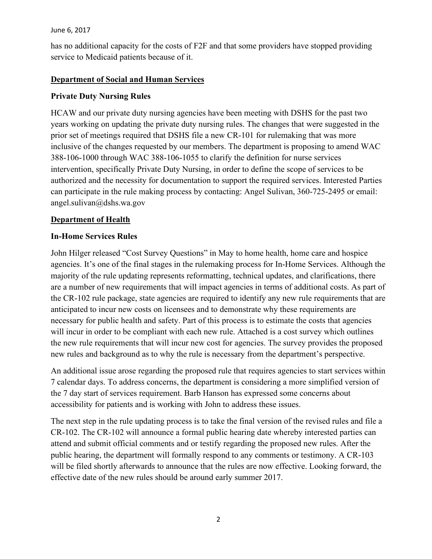has no additional capacity for the costs of F2F and that some providers have stopped providing service to Medicaid patients because of it.

## **Department of Social and Human Services**

# **Private Duty Nursing Rules**

HCAW and our private duty nursing agencies have been meeting with DSHS for the past two years working on updating the private duty nursing rules. The changes that were suggested in the prior set of meetings required that DSHS file a new CR-101 for rulemaking that was more inclusive of the changes requested by our members. The department is proposing to amend WAC 388-106-1000 through WAC 388-106-1055 to clarify the definition for nurse services intervention, specifically Private Duty Nursing, in order to define the scope of services to be authorized and the necessity for documentation to support the required services. Interested Parties can participate in the rule making process by contacting: Angel Sulivan, 360-725-2495 or email: angel.sulivan@dshs.wa.gov

## **Department of Health**

# **In-Home Services Rules**

John Hilger released "Cost Survey Questions" in May to home health, home care and hospice agencies. It's one of the final stages in the rulemaking process for In-Home Services. Although the majority of the rule updating represents reformatting, technical updates, and clarifications, there are a number of new requirements that will impact agencies in terms of additional costs. As part of the CR-102 rule package, state agencies are required to identify any new rule requirements that are anticipated to incur new costs on licensees and to demonstrate why these requirements are necessary for public health and safety. Part of this process is to estimate the costs that agencies will incur in order to be compliant with each new rule. Attached is a cost survey which outlines the new rule requirements that will incur new cost for agencies. The survey provides the proposed new rules and background as to why the rule is necessary from the department's perspective.

An additional issue arose regarding the proposed rule that requires agencies to start services within 7 calendar days. To address concerns, the department is considering a more simplified version of the 7 day start of services requirement. Barb Hanson has expressed some concerns about accessibility for patients and is working with John to address these issues.

The next step in the rule updating process is to take the final version of the revised rules and file a CR-102. The CR-102 will announce a formal public hearing date whereby interested parties can attend and submit official comments and or testify regarding the proposed new rules. After the public hearing, the department will formally respond to any comments or testimony. A CR-103 will be filed shortly afterwards to announce that the rules are now effective. Looking forward, the effective date of the new rules should be around early summer 2017.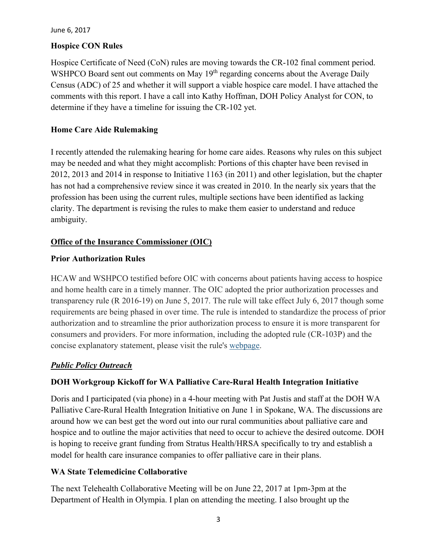# **Hospice CON Rules**

Hospice Certificate of Need (CoN) rules are moving towards the CR-102 final comment period. WSHPCO Board sent out comments on May  $19<sup>th</sup>$  regarding concerns about the Average Daily Census (ADC) of 25 and whether it will support a viable hospice care model. I have attached the comments with this report. I have a call into Kathy Hoffman, DOH Policy Analyst for CON, to determine if they have a timeline for issuing the CR-102 yet.

# **Home Care Aide Rulemaking**

I recently attended the rulemaking hearing for home care aides. Reasons why rules on this subject may be needed and what they might accomplish: Portions of this chapter have been revised in 2012, 2013 and 2014 in response to Initiative 1163 (in 2011) and other legislation, but the chapter has not had a comprehensive review since it was created in 2010. In the nearly six years that the profession has been using the current rules, multiple sections have been identified as lacking clarity. The department is revising the rules to make them easier to understand and reduce ambiguity.

# **Office of the Insurance Commissioner (OIC)**

## **Prior Authorization Rules**

HCAW and WSHPCO testified before OIC with concerns about patients having access to hospice and home health care in a timely manner. The OIC adopted the prior authorization processes and transparency rule (R 2016-19) on June 5, 2017. The rule will take effect July 6, 2017 though some requirements are being phased in over time. The rule is intended to standardize the process of prior authorization and to streamline the prior authorization process to ensure it is more transparent for consumers and providers. For more information, including the adopted rule (CR-103P) and the concise explanatory statement, please visit the rule's [webpage.](http://links.govdelivery.com/track?type=click&enid=ZWFzPTEmbXNpZD0mYXVpZD0mbWFpbGluZ2lkPTIwMTcwNjA2Ljc0MjQ2ODUxJm1lc3NhZ2VpZD1NREItUFJELUJVTC0yMDE3MDYwNi43NDI0Njg1MSZkYXRhYmFzZWlkPTEwMDEmc2VyaWFsPTE2OTI5NTM3JmVtYWlsaWQ9bGVzZW1lcmlja0Bsa2VtZXJpY2suY29tJnVzZXJpZD1sZXNlbWVyaWNrQGxrZW1lcmljay5jb20mdGFyZ2V0aWQ9JmZsPSZleHRyYT1NdWx0aXZhcmlhdGVJZD0mJiY=&&&100&&&https://www.insurance.wa.gov/prior-authorization-processes-and-transparency-r-2016-19?utm_content=&utm_medium=email&utm_name=&utm_source=govdelivery&utm_term=)

## *Public Policy Outreach*

# **DOH Workgroup Kickoff for WA Palliative Care-Rural Health Integration Initiative**

Doris and I participated (via phone) in a 4-hour meeting with Pat Justis and staff at the DOH WA Palliative Care-Rural Health Integration Initiative on June 1 in Spokane, WA. The discussions are around how we can best get the word out into our rural communities about palliative care and hospice and to outline the major activities that need to occur to achieve the desired outcome. DOH is hoping to receive grant funding from Stratus Health/HRSA specifically to try and establish a model for health care insurance companies to offer palliative care in their plans.

## **WA State Telemedicine Collaborative**

The next Telehealth Collaborative Meeting will be on June 22, 2017 at 1pm-3pm at the Department of Health in Olympia. I plan on attending the meeting. I also brought up the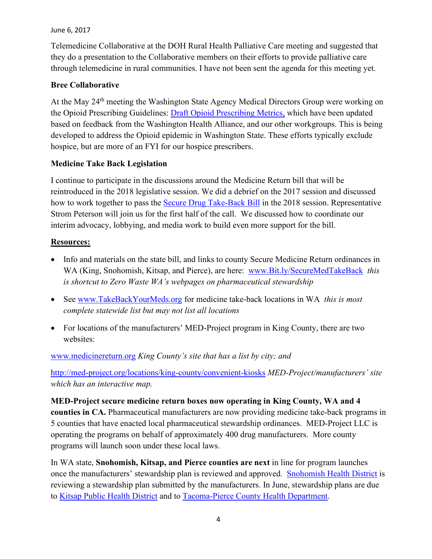Telemedicine Collaborative at the DOH Rural Health Palliative Care meeting and suggested that they do a presentation to the Collaborative members on their efforts to provide palliative care through telemedicine in rural communities. I have not been sent the agenda for this meeting yet.

## **Bree Collaborative**

At the May 24<sup>th</sup> meeting the Washington State Agency Medical Directors Group were working on the Opioid Prescribing Guidelines: [Draft Opioid Prescribing Metrics,](http://www.breecollaborative.org/wp-content/uploads/Bree-Opioid-Prescribing-Metrics-Specifications-1705.pdf) which have been updated based on feedback from the Washington Health Alliance, and our other workgroups. This is being developed to address the Opioid epidemic in Washington State. These efforts typically exclude hospice, but are more of an FYI for our hospice prescribers.

## **Medicine Take Back Legislation**

I continue to participate in the discussions around the Medicine Return bill that will be reintroduced in the 2018 legislative session. We did a debrief on the 2017 session and discussed how to work together to pass the [Secure Drug Take-Back Bill](http://app.leg.wa.gov/billsummary?BillNumber=1047&Year=2017) in the 2018 session. Representative Strom Peterson will join us for the first half of the call. We discussed how to coordinate our interim advocacy, lobbying, and media work to build even more support for the bill.

## **Resources:**

- Info and materials on the state bill, and links to county Secure Medicine Return ordinances in WA (King, Snohomish, Kitsap, and Pierce), are here: www.Bit.ly/SecureMedTakeBack *this is shortcut to Zero Waste WA's webpages on pharmaceutical stewardship*
- See [www.TakeBackYourMeds.org](http://www.takebackyourmeds.org/) for medicine take-back locations in WA *this is most complete statewide list but may not list all locations*
- For locations of the manufacturers' MED-Project program in King County, there are two websites:

[www.medicinereturn.org](http://www.medicinereturn.org/) *King County's site that has a list by city; and*

<http://med-project.org/locations/king-county/convenient-kiosks> *MED-Project/manufacturers' site which has an interactive map.*

**MED-Project secure medicine return boxes now operating in King County, WA and 4 counties in CA.** Pharmaceutical manufacturers are now providing medicine take-back programs in 5 counties that have enacted local pharmaceutical stewardship ordinances. MED-Project LLC is operating the programs on behalf of approximately 400 drug manufacturers. More county programs will launch soon under these local laws.

In WA state, **Snohomish, Kitsap, and Pierce counties are next** in line for program launches once the manufacturers' stewardship plan is reviewed and approved. [Snohomish Health District](http://www.snohd.org/Waste/Medicine-Disposal/Pharmaceutical-Stewardship) is reviewing a stewardship plan submitted by the manufacturers. In June, stewardship plans are due to [Kitsap Public Health District](http://www.kitsapcountyhealth.com/information/medicine_return.php) and to [Tacoma-Pierce County Health Department.](http://www.zerowastewashington.org/index.php/county-secure-medicine-return-regulations/secure-medicine-return-in-pierce-county)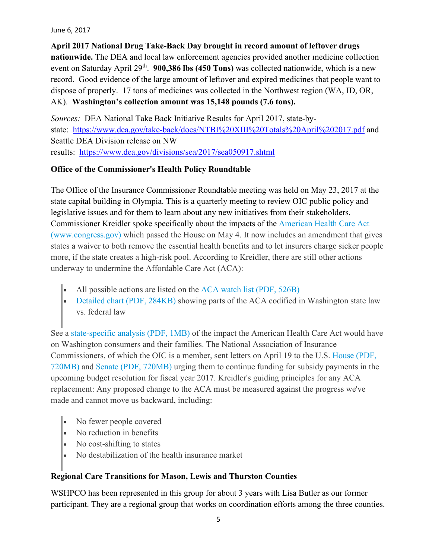**April 2017 National Drug Take-Back Day brought in record amount of leftover drugs nationwide.** The DEA and local law enforcement agencies provided another medicine collection event on Saturday April 29<sup>th</sup>. **900,386 lbs (450 Tons)** was collected nationwide, which is a new record. Good evidence of the large amount of leftover and expired medicines that people want to dispose of properly. 17 tons of medicines was collected in the Northwest region (WA, ID, OR, AK). **Washington's collection amount was 15,148 pounds (7.6 tons).**

*Sources:* DEA National Take Back Initiative Results for April 2017, state-bystate: <https://www.dea.gov/take-back/docs/NTBI%20XIII%20Totals%20April%202017.pdf> and Seattle DEA Division release on NW results: <https://www.dea.gov/divisions/sea/2017/sea050917.shtml>

# **Office of the Commissioner's Health Policy Roundtable**

The Office of the Insurance Commissioner Roundtable meeting was held on May 23, 2017 at the state capital building in Olympia. This is a quarterly meeting to review OIC public policy and legislative issues and for them to learn about any new initiatives from their stakeholders. Commissioner Kreidler spoke specifically about the impacts of the [American Health Care Act](https://www.congress.gov/bill/115th-congress/house-bill/1628/text)  [\(www.congress.gov\)](https://www.congress.gov/bill/115th-congress/house-bill/1628/text) which passed the House on May 4. It now includes an amendment that gives states a waiver to both remove the essential health benefits and to let insurers charge sicker people more, if the state creates a high-risk pool. According to Kreidler, there are still other actions underway to undermine the Affordable Care Act (ACA):

- All possible actions are listed on the [ACA watch list \(PDF, 526B\)](https://www.insurance.wa.gov/sites/default/files/documents/aca-watch-list.pdf)
- [Detailed chart \(PDF, 284KB\)](https://www.insurance.wa.gov/sites/default/files/documents/aca-gap-analysis.pdf) showing parts of the ACA codified in Washington state law vs. federal law

See a [state-specific analysis \(PDF, 1MB\)](https://insurance.wa.gov/sites/default/files/documents/WA-changes-under-AHCA.pdf) of the impact the American Health Care Act would have on Washington consumers and their families. The National Association of Insurance Commissioners, of which the OIC is a member, sent letters on April 19 to the U.S. [House \(PDF,](https://insurance.wa.gov/sites/default/files/documents/NAIC-CSR-House.pdf)  [720MB\)](https://insurance.wa.gov/sites/default/files/documents/NAIC-CSR-House.pdf) and [Senate \(PDF,](https://insurance.wa.gov/sites/default/files/documents/NAIC-CSR-Senate.pdf) 720MB) urging them to continue funding for subsidy payments in the upcoming budget resolution for fiscal year 2017. Kreidler's guiding principles for any ACA replacement: Any proposed change to the ACA must be measured against the progress we've made and cannot move us backward, including:

- No fewer people covered
- No reduction in benefits
- No cost-shifting to states
- No destabilization of the health insurance market

# **Regional Care Transitions for Mason, Lewis and Thurston Counties**

WSHPCO has been represented in this group for about 3 years with Lisa Butler as our former participant. They are a regional group that works on coordination efforts among the three counties.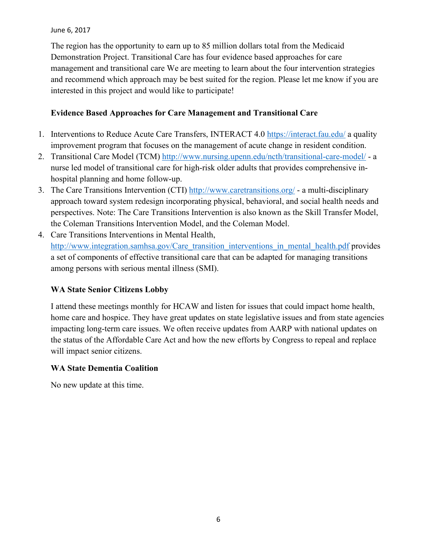The region has the opportunity to earn up to 85 million dollars total from the Medicaid Demonstration Project. Transitional Care has four evidence based approaches for care management and transitional care We are meeting to learn about the four intervention strategies and recommend which approach may be best suited for the region. Please let me know if you are interested in this project and would like to participate!

# **Evidence Based Approaches for Care Management and Transitional Care**

- 1. Interventions to Reduce Acute Care Transfers, INTERACT 4.0<https://interact.fau.edu/> a quality improvement program that focuses on the management of acute change in resident condition.
- 2. Transitional Care Model (TCM)<http://www.nursing.upenn.edu/ncth/transitional-care-model/> a nurse led model of transitional care for high-risk older adults that provides comprehensive inhospital planning and home follow-up.
- 3. The Care Transitions Intervention (CTI)<http://www.caretransitions.org/> a multi-disciplinary approach toward system redesign incorporating physical, behavioral, and social health needs and perspectives. Note: The Care Transitions Intervention is also known as the Skill Transfer Model, the Coleman Transitions Intervention Model, and the Coleman Model.
- 4. Care Transitions Interventions in Mental Health, [http://www.integration.samhsa.gov/Care\\_transition\\_interventions\\_in\\_mental\\_health.pdf](http://www.integration.samhsa.gov/Care_transition_interventions_in_mental_health.pdf) provides a set of components of effective transitional care that can be adapted for managing transitions among persons with serious mental illness (SMI).

# **WA State Senior Citizens Lobby**

I attend these meetings monthly for HCAW and listen for issues that could impact home health, home care and hospice. They have great updates on state legislative issues and from state agencies impacting long-term care issues. We often receive updates from AARP with national updates on the status of the Affordable Care Act and how the new efforts by Congress to repeal and replace will impact senior citizens.

## **WA State Dementia Coalition**

No new update at this time.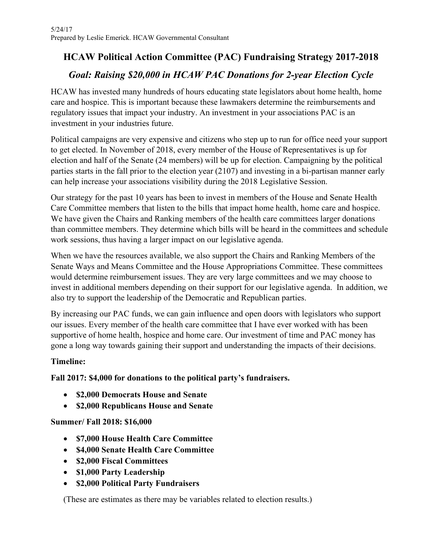# **HCAW Political Action Committee (PAC) Fundraising Strategy 2017-2018**

# *Goal: Raising \$20,000 in HCAW PAC Donations for 2-year Election Cycle*

HCAW has invested many hundreds of hours educating state legislators about home health, home care and hospice. This is important because these lawmakers determine the reimbursements and regulatory issues that impact your industry. An investment in your associations PAC is an investment in your industries future.

Political campaigns are very expensive and citizens who step up to run for office need your support to get elected. In November of 2018, every member of the House of Representatives is up for election and half of the Senate (24 members) will be up for election. Campaigning by the political parties starts in the fall prior to the election year (2107) and investing in a bi-partisan manner early can help increase your associations visibility during the 2018 Legislative Session.

Our strategy for the past 10 years has been to invest in members of the House and Senate Health Care Committee members that listen to the bills that impact home health, home care and hospice. We have given the Chairs and Ranking members of the health care committees larger donations than committee members. They determine which bills will be heard in the committees and schedule work sessions, thus having a larger impact on our legislative agenda.

When we have the resources available, we also support the Chairs and Ranking Members of the Senate Ways and Means Committee and the House Appropriations Committee. These committees would determine reimbursement issues. They are very large committees and we may choose to invest in additional members depending on their support for our legislative agenda. In addition, we also try to support the leadership of the Democratic and Republican parties.

By increasing our PAC funds, we can gain influence and open doors with legislators who support our issues. Every member of the health care committee that I have ever worked with has been supportive of home health, hospice and home care. Our investment of time and PAC money has gone a long way towards gaining their support and understanding the impacts of their decisions.

# **Timeline:**

# **Fall 2017: \$4,000 for donations to the political party's fundraisers.**

- **\$2,000 Democrats House and Senate**
- **\$2,000 Republicans House and Senate**

# **Summer/ Fall 2018: \$16,000**

- **\$7,000 House Health Care Committee**
- **\$4,000 Senate Health Care Committee**
- **\$2,000 Fiscal Committees**
- **\$1,000 Party Leadership**
- **\$2,000 Political Party Fundraisers**

(These are estimates as there may be variables related to election results.)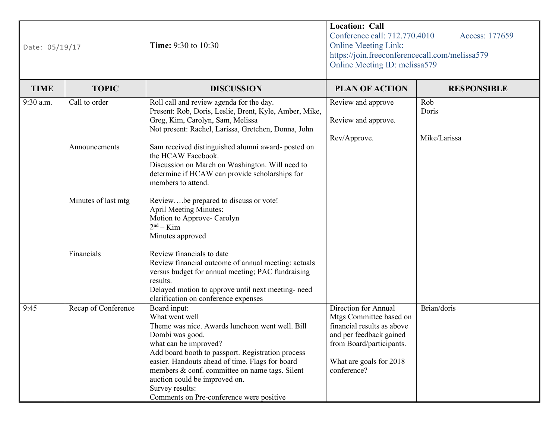| Date: 05/19/17 |                     | <b>Location: Call</b><br>Conference call: 712.770.4010<br>Time: 9:30 to 10:30<br><b>Online Meeting Link:</b><br>https://join.freeconferencecall.com/melissa579<br>Online Meeting ID: melissa579                                                                                                                                                                                         |                                                                                                                                                                                | Access: 177659     |
|----------------|---------------------|-----------------------------------------------------------------------------------------------------------------------------------------------------------------------------------------------------------------------------------------------------------------------------------------------------------------------------------------------------------------------------------------|--------------------------------------------------------------------------------------------------------------------------------------------------------------------------------|--------------------|
| <b>TIME</b>    | <b>TOPIC</b>        | <b>DISCUSSION</b>                                                                                                                                                                                                                                                                                                                                                                       | <b>PLAN OF ACTION</b>                                                                                                                                                          | <b>RESPONSIBLE</b> |
| 9:30 a.m.      | Call to order       | Roll call and review agenda for the day.<br>Present: Rob, Doris, Leslie, Brent, Kyle, Amber, Mike,<br>Greg, Kim, Carolyn, Sam, Melissa<br>Not present: Rachel, Larissa, Gretchen, Donna, John                                                                                                                                                                                           | Review and approve<br>Review and approve.                                                                                                                                      | Rob<br>Doris       |
|                | Announcements       | Sam received distinguished alumni award-posted on<br>the HCAW Facebook.<br>Discussion on March on Washington. Will need to                                                                                                                                                                                                                                                              | Rev/Approve.                                                                                                                                                                   | Mike/Larissa       |
|                | Minutes of last mtg | determine if HCAW can provide scholarships for<br>members to attend.<br>Reviewbe prepared to discuss or vote!                                                                                                                                                                                                                                                                           |                                                                                                                                                                                |                    |
|                |                     | <b>April Meeting Minutes:</b><br>Motion to Approve- Carolyn<br>$2nd - Kim$<br>Minutes approved                                                                                                                                                                                                                                                                                          |                                                                                                                                                                                |                    |
|                | Financials          | Review financials to date<br>Review financial outcome of annual meeting: actuals<br>versus budget for annual meeting; PAC fundraising<br>results.<br>Delayed motion to approve until next meeting- need<br>clarification on conference expenses                                                                                                                                         |                                                                                                                                                                                |                    |
| 9:45           | Recap of Conference | Board input:<br>What went well<br>Theme was nice. Awards luncheon went well. Bill<br>Dombi was good.<br>what can be improved?<br>Add board booth to passport. Registration process<br>easier. Handouts ahead of time. Flags for board<br>members & conf. committee on name tags. Silent<br>auction could be improved on.<br>Survey results:<br>Comments on Pre-conference were positive | Direction for Annual<br>Mtgs Committee based on<br>financial results as above<br>and per feedback gained<br>from Board/participants.<br>What are goals for 2018<br>conference? | Brian/doris        |